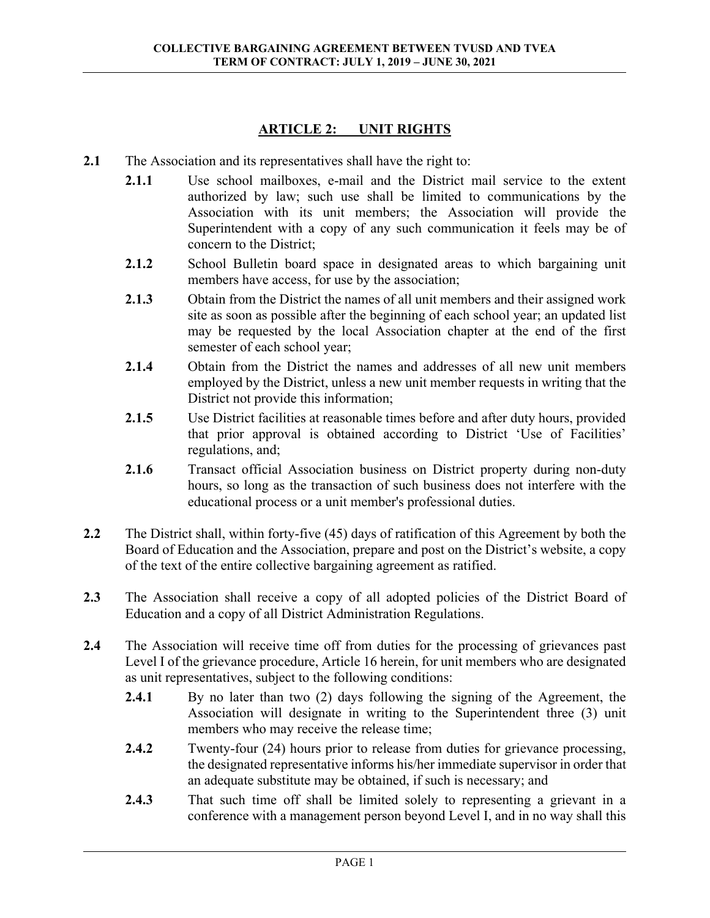## **ARTICLE 2: UNIT RIGHTS**

- **2.1** The Association and its representatives shall have the right to:
	- **2.1.1** Use school mailboxes, e-mail and the District mail service to the extent authorized by law; such use shall be limited to communications by the Association with its unit members; the Association will provide the Superintendent with a copy of any such communication it feels may be of concern to the District;
	- **2.1.2** School Bulletin board space in designated areas to which bargaining unit members have access, for use by the association;
	- **2.1.3** Obtain from the District the names of all unit members and their assigned work site as soon as possible after the beginning of each school year; an updated list may be requested by the local Association chapter at the end of the first semester of each school year;
	- **2.1.4** Obtain from the District the names and addresses of all new unit members employed by the District, unless a new unit member requests in writing that the District not provide this information;
	- **2.1.5** Use District facilities at reasonable times before and after duty hours, provided that prior approval is obtained according to District 'Use of Facilities' regulations, and;
	- **2.1.6** Transact official Association business on District property during non-duty hours, so long as the transaction of such business does not interfere with the educational process or a unit member's professional duties.
- **2.2** The District shall, within forty-five (45) days of ratification of this Agreement by both the Board of Education and the Association, prepare and post on the District's website, a copy of the text of the entire collective bargaining agreement as ratified.
- **2.3** The Association shall receive a copy of all adopted policies of the District Board of Education and a copy of all District Administration Regulations.
- **2.4** The Association will receive time off from duties for the processing of grievances past Level I of the grievance procedure, Article 16 herein, for unit members who are designated as unit representatives, subject to the following conditions:
	- **2.4.1** By no later than two (2) days following the signing of the Agreement, the Association will designate in writing to the Superintendent three (3) unit members who may receive the release time;
	- **2.4.2** Twenty-four (24) hours prior to release from duties for grievance processing, the designated representative informs his/her immediate supervisor in order that an adequate substitute may be obtained, if such is necessary; and
	- **2.4.3** That such time off shall be limited solely to representing a grievant in a conference with a management person beyond Level I, and in no way shall this